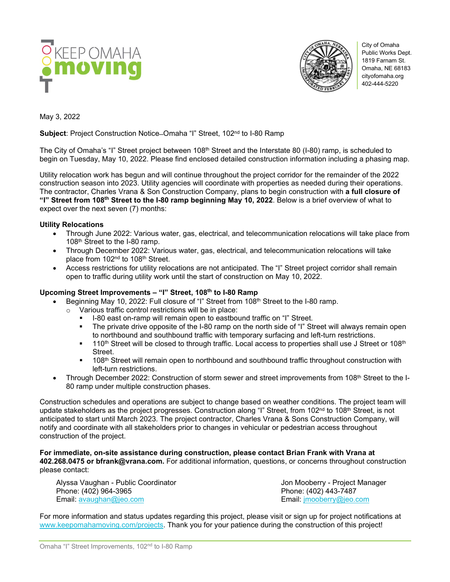



City of Omaha Public Works Dept. 1819 Farnam St. Omaha, NE 68183 cityofomaha.org 402-444-5220

May 3, 2022

**Subject:** Project Construction Notice–Omaha "I" Street, 102<sup>nd</sup> to I-80 Ramp

The City of Omaha's "I" Street project between 108<sup>th</sup> Street and the Interstate 80 (I-80) ramp, is scheduled to begin on Tuesday, May 10, 2022. Please find enclosed detailed construction information including a phasing map.

Utility relocation work has begun and will continue throughout the project corridor for the remainder of the 2022 construction season into 2023. Utility agencies will coordinate with properties as needed during their operations. The contractor, Charles Vrana & Son Construction Company, plans to begin construction with **a full closure of "I" Street from 108th Street to the I-80 ramp beginning May 10, 2022**. Below is a brief overview of what to expect over the next seven (7) months:

## **Utility Relocations**

- Through June 2022: Various water, gas, electrical, and telecommunication relocations will take place from 108<sup>th</sup> Street to the I-80 ramp.
- Through December 2022: Various water, gas, electrical, and telecommunication relocations will take place from 102<sup>nd</sup> to 108<sup>th</sup> Street.
- Access restrictions for utility relocations are not anticipated. The "I" Street project corridor shall remain open to traffic during utility work until the start of construction on May 10, 2022.

## **Upcoming Street Improvements – "I" Street, 108th to I-80 Ramp**

- Beginning May 10, 2022: Full closure of "I" Street from 108<sup>th</sup> Street to the I-80 ramp.
	- o Various traffic control restrictions will be in place:
		- I-80 east on-ramp will remain open to eastbound traffic on "I" Street.<br>In the private drive opposite of the I-80 ramp on the north side of "I" Street.
		- The private drive opposite of the I-80 ramp on the north side of "I" Street will always remain open to northbound and southbound traffic with temporary surfacing and left-turn restrictions.
		- $110<sup>th</sup>$  Street will be closed to through traffic. Local access to properties shall use J Street or 108<sup>th</sup> **Street**
		- <sup>1</sup> 108<sup>th</sup> Street will remain open to northbound and southbound traffic throughout construction with left-turn restrictions.
- Through December 2022: Construction of storm sewer and street improvements from 108th Street to the I-80 ramp under multiple construction phases.

Construction schedules and operations are subject to change based on weather conditions. The project team will update stakeholders as the project progresses. Construction along "I" Street, from 102<sup>nd</sup> to 108<sup>th</sup> Street, is not anticipated to start until March 2023. The project contractor, Charles Vrana & Sons Construction Company, will notify and coordinate with all stakeholders prior to changes in vehicular or pedestrian access throughout construction of the project.

**For immediate, on-site assistance during construction, please contact Brian Frank with Vrana at 402.268.0475 or bfrank@vrana.com.** For additional information, questions, or concerns throughout construction please contact:

Alyssa Vaughan - Public Coordinator **Jon Mooberty - Project Manager** Jon Mooberry - Project Manager Phone: (402) 964-3965 Phone: (402) 443-7487 Email: [avaughan@jeo.com](mailto:avaughan@jeo.com) Email: [jmooberry@jeo.com](mailto:jmooberry@jeo.com)

For more information and status updates regarding this project, please visit or sign up for project notifications at [www.keepomahamoving.com/projects.](http://www.keepomahamoving.com/projects) Thank you for your patience during the construction of this project!